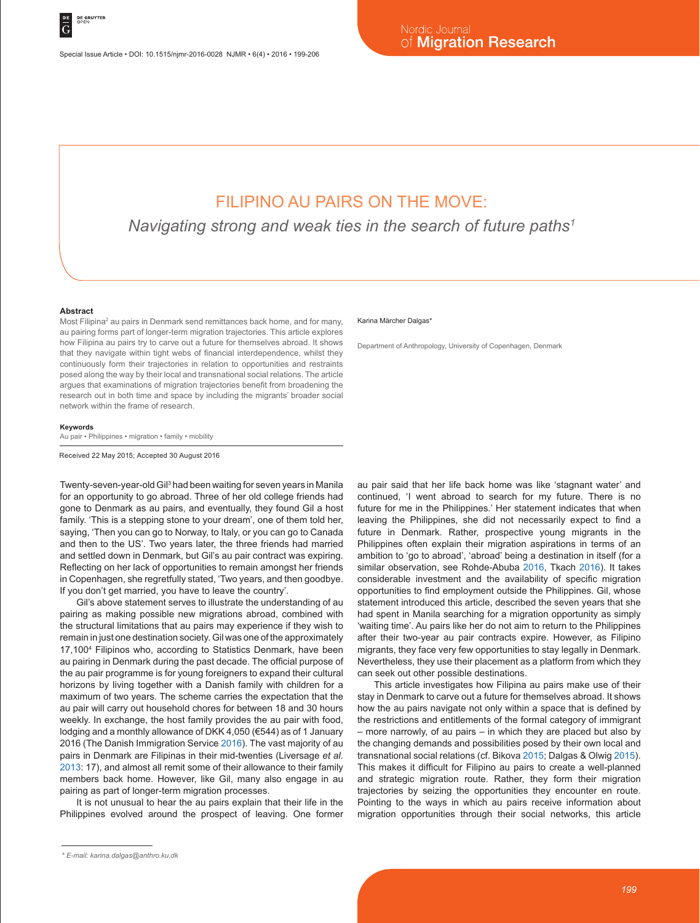# FILIPINO AU PAIRS ON THE MOVE:

*Navigating strong and weak ties in the search of future paths1*

#### **Abstract**

Most Filipina<sup>2</sup> au pairs in Denmark send remittances back home, and for many, au pairing forms part of longer-term migration trajectories. This article explores how Filipina au pairs try to carve out a future for themselves abroad. It shows that they navigate within tight webs of financial interdependence, whilst they continuously form their trajectories in relation to opportunities and restraints posed along the way by their local and transnational social relations. The article argues that examinations of migration trajectories benefit from broadening the research out in both time and space by including the migrants' broader social network within the frame of research.

#### **Keywords**

Au pair • Philippines • migration • family • mobility

Received 22 May 2015; Accepted 30 August 2016

Twenty-seven-year-old Gil<sup>3</sup> had been waiting for seven years in Manila for an opportunity to go abroad. Three of her old college friends had gone to Denmark as au pairs, and eventually, they found Gil a host family. 'This is a stepping stone to your dream', one of them told her, saying, 'Then you can go to Norway, to Italy, or you can go to Canada and then to the US'. Two years later, the three friends had married and settled down in Denmark, but Gil's au pair contract was expiring. Reflecting on her lack of opportunities to remain amongst her friends in Copenhagen, she regretfully stated, 'Two years, and then goodbye. If you don't get married, you have to leave the country'.

Gil's above statement serves to illustrate the understanding of au pairing as making possible new migrations abroad, combined with the structural limitations that au pairs may experience if they wish to remain in just one destination society. Gil was one of the approximately 17,1004 Filipinos who, according to Statistics Denmark, have been au pairing in Denmark during the past decade. The official purpose of the au pair programme is for young foreigners to expand their cultural horizons by living together with a Danish family with children for a maximum of two years. The scheme carries the expectation that the au pair will carry out household chores for between 18 and 30 hours weekly. In exchange, the host family provides the au pair with food, lodging and a monthly allowance of DKK 4,050 (€544) as of 1 January 2016 (The Danish Immigration Service 2016). The vast majority of au pairs in Denmark are Filipinas in their mid-twenties (Liversage *et al.*  2013: 17), and almost all remit some of their allowance to their family members back home. However, like Gil, many also engage in au pairing as part of longer-term migration processes.

It is not unusual to hear the au pairs explain that their life in the Philippines evolved around the prospect of leaving. One former

#### Karina Märcher Dalgas

Department of Anthropology, University of Copenhagen, Denmark

au pair said that her life back home was like 'stagnant water' and continued, 'I went abroad to search for my future. There is no future for me in the Philippines.' Her statement indicates that when leaving the Philippines, she did not necessarily expect to find a future in Denmark. Rather, prospective young migrants in the Philippines often explain their migration aspirations in terms of an ambition to 'go to abroad', 'abroad' being a destination in itself (for a similar observation, see Rohde-Abuba 2016, Tkach 2016). It takes considerable investment and the availability of specific migration opportunities to find employment outside the Philippines. Gil, whose statement introduced this article, described the seven years that she had spent in Manila searching for a migration opportunity as simply 'waiting time'. Au pairs like her do not aim to return to the Philippines after their two-year au pair contracts expire. However, as Filipino migrants, they face very few opportunities to stay legally in Denmark. Nevertheless, they use their placement as a platform from which they can seek out other possible destinations.

This article investigates how Filipina au pairs make use of their stay in Denmark to carve out a future for themselves abroad. It shows how the au pairs navigate not only within a space that is defined by the restrictions and entitlements of the formal category of immigrant – more narrowly, of au pairs – in which they are placed but also by the changing demands and possibilities posed by their own local and transnational social relations (cf. Bikova 2015; Dalgas & Olwig 2015). This makes it difficult for Filipino au pairs to create a well-planned and strategic migration route. Rather, they form their migration trajectories by seizing the opportunities they encounter en route. Pointing to the ways in which au pairs receive information about migration opportunities through their social networks, this article

*<sup>\*</sup> E-mail: karina.dalgas@anthro.ku.dk*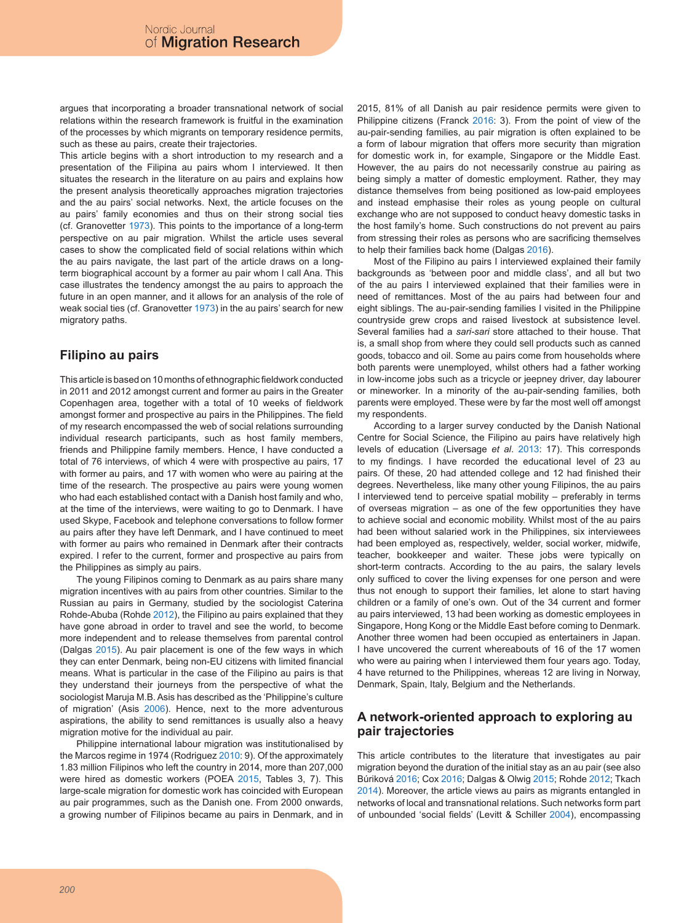argues that incorporating a broader transnational network of social relations within the research framework is fruitful in the examination of the processes by which migrants on temporary residence permits, such as these au pairs, create their trajectories.

This article begins with a short introduction to my research and a presentation of the Filipina au pairs whom I interviewed. It then situates the research in the literature on au pairs and explains how the present analysis theoretically approaches migration trajectories and the au pairs' social networks. Next, the article focuses on the au pairs' family economies and thus on their strong social ties (cf. Granovetter 1973). This points to the importance of a long-term perspective on au pair migration. Whilst the article uses several cases to show the complicated field of social relations within which the au pairs navigate, the last part of the article draws on a longterm biographical account by a former au pair whom I call Ana. This case illustrates the tendency amongst the au pairs to approach the future in an open manner, and it allows for an analysis of the role of weak social ties (cf. Granovetter 1973) in the au pairs' search for new migratory paths.

## **Filipino au pairs**

This article is based on 10 months of ethnographic fieldwork conducted in 2011 and 2012 amongst current and former au pairs in the Greater Copenhagen area, together with a total of 10 weeks of fieldwork amongst former and prospective au pairs in the Philippines. The field of my research encompassed the web of social relations surrounding individual research participants, such as host family members, friends and Philippine family members. Hence, I have conducted a total of 76 interviews, of which 4 were with prospective au pairs, 17 with former au pairs, and 17 with women who were au pairing at the time of the research. The prospective au pairs were young women who had each established contact with a Danish host family and who, at the time of the interviews, were waiting to go to Denmark. I have used Skype, Facebook and telephone conversations to follow former au pairs after they have left Denmark, and I have continued to meet with former au pairs who remained in Denmark after their contracts expired. I refer to the current, former and prospective au pairs from the Philippines as simply au pairs.

The young Filipinos coming to Denmark as au pairs share many migration incentives with au pairs from other countries. Similar to the Russian au pairs in Germany, studied by the sociologist Caterina Rohde-Abuba (Rohde 2012), the Filipino au pairs explained that they have gone abroad in order to travel and see the world, to become more independent and to release themselves from parental control (Dalgas 2015). Au pair placement is one of the few ways in which they can enter Denmark, being non-EU citizens with limited financial means. What is particular in the case of the Filipino au pairs is that they understand their journeys from the perspective of what the sociologist Maruja M.B. Asis has described as the 'Philippine's culture of migration' (Asis 2006). Hence, next to the more adventurous aspirations, the ability to send remittances is usually also a heavy migration motive for the individual au pair.

Philippine international labour migration was institutionalised by the Marcos regime in 1974 (Rodriguez 2010: 9). Of the approximately 1.83 million Filipinos who left the country in 2014, more than 207,000 were hired as domestic workers (POEA 2015, Tables 3, 7). This large-scale migration for domestic work has coincided with European au pair programmes, such as the Danish one. From 2000 onwards, a growing number of Filipinos became au pairs in Denmark, and in 2015, 81% of all Danish au pair residence permits were given to Philippine citizens (Franck 2016: 3). From the point of view of the au-pair-sending families, au pair migration is often explained to be a form of labour migration that offers more security than migration for domestic work in, for example, Singapore or the Middle East. However, the au pairs do not necessarily construe au pairing as being simply a matter of domestic employment. Rather, they may distance themselves from being positioned as low-paid employees and instead emphasise their roles as young people on cultural exchange who are not supposed to conduct heavy domestic tasks in the host family's home. Such constructions do not prevent au pairs from stressing their roles as persons who are sacrificing themselves to help their families back home (Dalgas 2016).

Most of the Filipino au pairs I interviewed explained their family backgrounds as 'between poor and middle class', and all but two of the au pairs I interviewed explained that their families were in need of remittances. Most of the au pairs had between four and eight siblings. The au-pair-sending families I visited in the Philippine countryside grew crops and raised livestock at subsistence level. Several families had a *sari-sari* store attached to their house. That is, a small shop from where they could sell products such as canned goods, tobacco and oil. Some au pairs come from households where both parents were unemployed, whilst others had a father working in low-income jobs such as a tricycle or jeepney driver, day labourer or mineworker. In a minority of the au-pair-sending families, both parents were employed. These were by far the most well off amongst my respondents.

According to a larger survey conducted by the Danish National Centre for Social Science, the Filipino au pairs have relatively high levels of education (Liversage *et al*. 2013: 17). This corresponds to my findings. I have recorded the educational level of 23 au pairs. Of these, 20 had attended college and 12 had finished their degrees. Nevertheless, like many other young Filipinos, the au pairs I interviewed tend to perceive spatial mobility – preferably in terms of overseas migration – as one of the few opportunities they have to achieve social and economic mobility. Whilst most of the au pairs had been without salaried work in the Philippines, six interviewees had been employed as, respectively, welder, social worker, midwife, teacher, bookkeeper and waiter. These jobs were typically on short-term contracts. According to the au pairs, the salary levels only sufficed to cover the living expenses for one person and were thus not enough to support their families, let alone to start having children or a family of one's own. Out of the 34 current and former au pairs interviewed, 13 had been working as domestic employees in Singapore, Hong Kong or the Middle East before coming to Denmark. Another three women had been occupied as entertainers in Japan. I have uncovered the current whereabouts of 16 of the 17 women who were au pairing when I interviewed them four years ago. Today, 4 have returned to the Philippines, whereas 12 are living in Norway, Denmark, Spain, Italy, Belgium and the Netherlands.

### **A network-oriented approach to exploring au pair trajectories**

This article contributes to the literature that investigates au pair migration beyond the duration of the initial stay as an au pair (see also Búriková 2016; Cox 2016; Dalgas & Olwig 2015; Rohde 2012; Tkach 2014). Moreover, the article views au pairs as migrants entangled in networks of local and transnational relations. Such networks form part of unbounded 'social fields' (Levitt & Schiller 2004), encompassing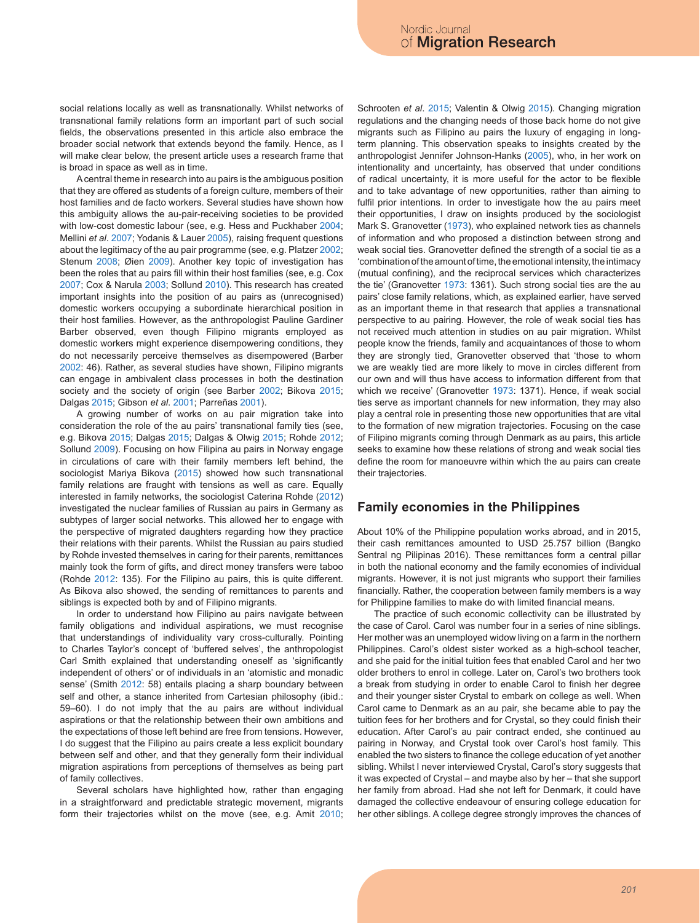social relations locally as well as transnationally. Whilst networks of transnational family relations form an important part of such social fields, the observations presented in this article also embrace the broader social network that extends beyond the family. Hence, as I will make clear below, the present article uses a research frame that is broad in space as well as in time.

A central theme in research into au pairs is the ambiguous position that they are offered as students of a foreign culture, members of their host families and de facto workers. Several studies have shown how this ambiguity allows the au-pair-receiving societies to be provided with low-cost domestic labour (see, e.g. Hess and Puckhaber 2004; Mellini *et al*. 2007; Yodanis & Lauer 2005), raising frequent questions about the legitimacy of the au pair programme (see, e.g. Platzer 2002; Stenum 2008; Øien 2009). Another key topic of investigation has been the roles that au pairs fill within their host families (see, e.g. Cox 2007; Cox & Narula 2003; Sollund 2010). This research has created important insights into the position of au pairs as (unrecognised) domestic workers occupying a subordinate hierarchical position in their host families. However, as the anthropologist Pauline Gardiner Barber observed, even though Filipino migrants employed as domestic workers might experience disempowering conditions, they do not necessarily perceive themselves as disempowered (Barber 2002: 46). Rather, as several studies have shown, Filipino migrants can engage in ambivalent class processes in both the destination society and the society of origin (see Barber 2002; Bikova 2015; Dalgas 2015; Gibson *et al*. 2001; Parreñas 2001).

A growing number of works on au pair migration take into consideration the role of the au pairs' transnational family ties (see, e.g. Bikova 2015; Dalgas 2015; Dalgas & Olwig 2015; Rohde 2012; Sollund 2009). Focusing on how Filipina au pairs in Norway engage in circulations of care with their family members left behind, the sociologist Mariya Bikova (2015) showed how such transnational family relations are fraught with tensions as well as care. Equally interested in family networks, the sociologist Caterina Rohde (2012) investigated the nuclear families of Russian au pairs in Germany as subtypes of larger social networks. This allowed her to engage with the perspective of migrated daughters regarding how they practice their relations with their parents. Whilst the Russian au pairs studied by Rohde invested themselves in caring for their parents, remittances mainly took the form of gifts, and direct money transfers were taboo (Rohde 2012: 135). For the Filipino au pairs, this is quite different. As Bikova also showed, the sending of remittances to parents and siblings is expected both by and of Filipino migrants.

In order to understand how Filipino au pairs navigate between family obligations and individual aspirations, we must recognise that understandings of individuality vary cross-culturally. Pointing to Charles Taylor's concept of 'buffered selves', the anthropologist Carl Smith explained that understanding oneself as 'significantly independent of others' or of individuals in an 'atomistic and monadic sense' (Smith 2012: 58) entails placing a sharp boundary between self and other, a stance inherited from Cartesian philosophy (ibid.: 59–60). I do not imply that the au pairs are without individual aspirations or that the relationship between their own ambitions and the expectations of those left behind are free from tensions. However, I do suggest that the Filipino au pairs create a less explicit boundary between self and other, and that they generally form their individual migration aspirations from perceptions of themselves as being part of family collectives.

Several scholars have highlighted how, rather than engaging in a straightforward and predictable strategic movement, migrants form their trajectories whilst on the move (see, e.g. Amit 2010; Schrooten *et al*. 2015; Valentin & Olwig 2015). Changing migration regulations and the changing needs of those back home do not give migrants such as Filipino au pairs the luxury of engaging in longterm planning. This observation speaks to insights created by the anthropologist Jennifer Johnson-Hanks (2005), who, in her work on intentionality and uncertainty, has observed that under conditions of radical uncertainty, it is more useful for the actor to be flexible and to take advantage of new opportunities, rather than aiming to fulfil prior intentions. In order to investigate how the au pairs meet their opportunities, I draw on insights produced by the sociologist Mark S. Granovetter (1973), who explained network ties as channels of information and who proposed a distinction between strong and weak social ties. Granovetter defined the strength of a social tie as a 'combination of the amount of time, the emotional intensity, the intimacy (mutual confining), and the reciprocal services which characterizes the tie' (Granovetter 1973: 1361). Such strong social ties are the au pairs' close family relations, which, as explained earlier, have served as an important theme in that research that applies a transnational perspective to au pairing. However, the role of weak social ties has not received much attention in studies on au pair migration. Whilst people know the friends, family and acquaintances of those to whom they are strongly tied, Granovetter observed that 'those to whom we are weakly tied are more likely to move in circles different from our own and will thus have access to information different from that which we receive' (Granovetter 1973: 1371). Hence, if weak social ties serve as important channels for new information, they may also play a central role in presenting those new opportunities that are vital to the formation of new migration trajectories. Focusing on the case of Filipino migrants coming through Denmark as au pairs, this article seeks to examine how these relations of strong and weak social ties define the room for manoeuvre within which the au pairs can create their trajectories.

#### **Family economies in the Philippines**

About 10% of the Philippine population works abroad, and in 2015, their cash remittances amounted to USD 25.757 billion (Bangko Sentral ng Pilipinas 2016). These remittances form a central pillar in both the national economy and the family economies of individual migrants. However, it is not just migrants who support their families financially. Rather, the cooperation between family members is a way for Philippine families to make do with limited financial means.

The practice of such economic collectivity can be illustrated by the case of Carol. Carol was number four in a series of nine siblings. Her mother was an unemployed widow living on a farm in the northern Philippines. Carol's oldest sister worked as a high-school teacher, and she paid for the initial tuition fees that enabled Carol and her two older brothers to enrol in college. Later on, Carol's two brothers took a break from studying in order to enable Carol to finish her degree and their younger sister Crystal to embark on college as well. When Carol came to Denmark as an au pair, she became able to pay the tuition fees for her brothers and for Crystal, so they could finish their education. After Carol's au pair contract ended, she continued au pairing in Norway, and Crystal took over Carol's host family. This enabled the two sisters to finance the college education of yet another sibling. Whilst I never interviewed Crystal, Carol's story suggests that it was expected of Crystal – and maybe also by her – that she support her family from abroad. Had she not left for Denmark, it could have damaged the collective endeavour of ensuring college education for her other siblings. A college degree strongly improves the chances of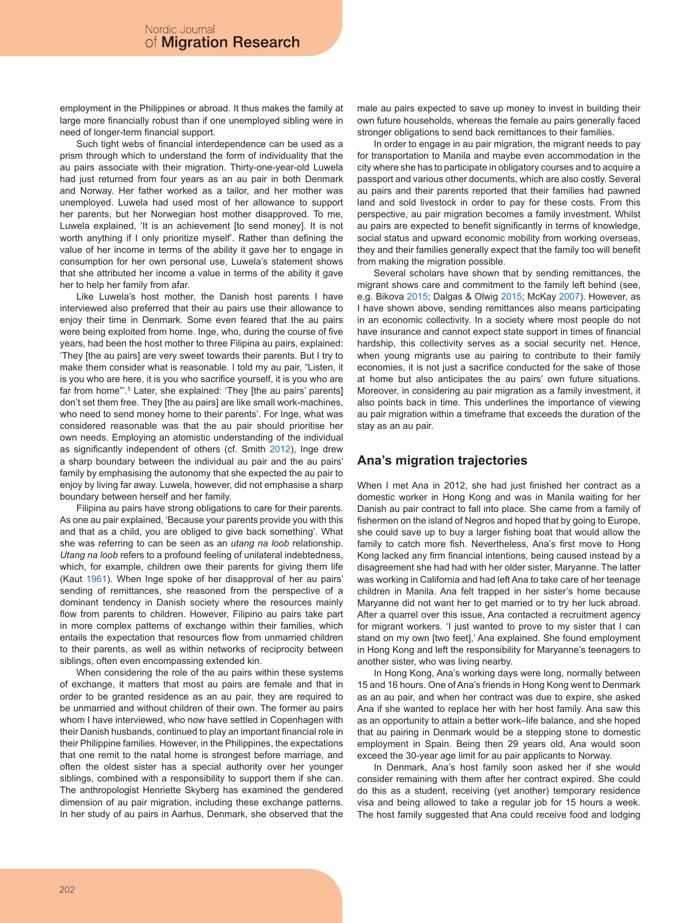employment in the Philippines or abroad. It thus makes the family at large more financially robust than if one unemployed sibling were in need of longer-term financial support.

Such tight webs of financial interdependence can be used as a prism through which to understand the form of individuality that the au pairs associate with their migration. Thirty-one-year-old Luwela had just returned from four years as an au pair in both Denmark and Norway. Her father worked as a tailor, and her mother was unemployed. Luwela had used most of her allowance to support her parents, but her Norwegian host mother disapproved. To me, Luwela explained, 'It is an achievement [to send money]. It is not worth anything if I only prioritize myself'. Rather than defining the value of her income in terms of the ability it gave her to engage in consumption for her own personal use, Luwela's statement shows that she attributed her income a value in terms of the ability it gave her to help her family from afar.

Like Luwela's host mother, the Danish host parents I have interviewed also preferred that their au pairs use their allowance to enjoy their time in Denmark. Some even feared that the au pairs were being exploited from home. Inge, who, during the course of five years, had been the host mother to three Filipina au pairs, explained: 'They [the au pairs] are very sweet towards their parents. But I try to make them consider what is reasonable. I told my au pair, "Listen, it is you who are here, it is you who sacrifice yourself, it is you who are far from home"'.<sup>5</sup> Later, she explained: 'They [the au pairs' parents] don't set them free. They [the au pairs] are like small work-machines, who need to send money home to their parents'. For Inge, what was considered reasonable was that the au pair should prioritise her own needs. Employing an atomistic understanding of the individual as significantly independent of others (cf. Smith 2012), Inge drew a sharp boundary between the individual au pair and the au pairs' family by emphasising the autonomy that she expected the au pair to enjoy by living far away. Luwela, however, did not emphasise a sharp boundary between herself and her family.

Filipina au pairs have strong obligations to care for their parents. As one au pair explained, 'Because your parents provide you with this and that as a child, you are obliged to give back something'. What she was referring to can be seen as an *utang na loob* relationship. *Utang na loob* refers to a profound feeling of unilateral indebtedness, which, for example, children owe their parents for giving them life (Kaut 1961). When Inge spoke of her disapproval of her au pairs' sending of remittances, she reasoned from the perspective of a dominant tendency in Danish society where the resources mainly flow from parents to children. However, Filipino au pairs take part in more complex patterns of exchange within their families, which entails the expectation that resources flow from unmarried children to their parents, as well as within networks of reciprocity between siblings, often even encompassing extended kin.

When considering the role of the au pairs within these systems of exchange, it matters that most au pairs are female and that in order to be granted residence as an au pair, they are required to be unmarried and without children of their own. The former au pairs whom I have interviewed, who now have settled in Copenhagen with their Danish husbands, continued to play an important financial role in their Philippine families. However, in the Philippines, the expectations that one remit to the natal home is strongest before marriage, and often the oldest sister has a special authority over her younger siblings, combined with a responsibility to support them if she can. The anthropologist Henriette Skyberg has examined the gendered dimension of au pair migration, including these exchange patterns. In her study of au pairs in Aarhus, Denmark, she observed that the male au pairs expected to save up money to invest in building their own future households, whereas the female au pairs generally faced stronger obligations to send back remittances to their families.

In order to engage in au pair migration, the migrant needs to pay for transportation to Manila and maybe even accommodation in the city where she has to participate in obligatory courses and to acquire a passport and various other documents, which are also costly. Several au pairs and their parents reported that their families had pawned land and sold livestock in order to pay for these costs. From this perspective, au pair migration becomes a family investment. Whilst au pairs are expected to benefit significantly in terms of knowledge, social status and upward economic mobility from working overseas, they and their families generally expect that the family too will benefit from making the migration possible.

Several scholars have shown that by sending remittances, the migrant shows care and commitment to the family left behind (see, e.g. Bikova 2015; Dalgas & Olwig 2015; McKay 2007). However, as I have shown above, sending remittances also means participating in an economic collectivity. In a society where most people do not have insurance and cannot expect state support in times of financial hardship, this collectivity serves as a social security net. Hence, when young migrants use au pairing to contribute to their family economies, it is not just a sacrifice conducted for the sake of those at home but also anticipates the au pairs' own future situations. Moreover, in considering au pair migration as a family investment, it also points back in time. This underlines the importance of viewing au pair migration within a timeframe that exceeds the duration of the stay as an au pair.

### **Ana's migration trajectories**

When I met Ana in 2012, she had just finished her contract as a domestic worker in Hong Kong and was in Manila waiting for her Danish au pair contract to fall into place. She came from a family of fishermen on the island of Negros and hoped that by going to Europe, she could save up to buy a larger fishing boat that would allow the family to catch more fish. Nevertheless, Ana's first move to Hong Kong lacked any firm financial intentions, being caused instead by a disagreement she had had with her older sister, Maryanne. The latter was working in California and had left Ana to take care of her teenage children in Manila. Ana felt trapped in her sister's home because Maryanne did not want her to get married or to try her luck abroad. After a quarrel over this issue, Ana contacted a recruitment agency for migrant workers. 'I just wanted to prove to my sister that I can stand on my own [two feet],' Ana explained. She found employment in Hong Kong and left the responsibility for Maryanne's teenagers to another sister, who was living nearby.

In Hong Kong, Ana's working days were long, normally between 15 and 16 hours. One of Ana's friends in Hong Kong went to Denmark as an au pair, and when her contract was due to expire, she asked Ana if she wanted to replace her with her host family. Ana saw this as an opportunity to attain a better work–life balance, and she hoped that au pairing in Denmark would be a stepping stone to domestic employment in Spain. Being then 29 years old, Ana would soon exceed the 30-year age limit for au pair applicants to Norway.

In Denmark, Ana's host family soon asked her if she would consider remaining with them after her contract expired. She could do this as a student, receiving (yet another) temporary residence visa and being allowed to take a regular job for 15 hours a week. The host family suggested that Ana could receive food and lodging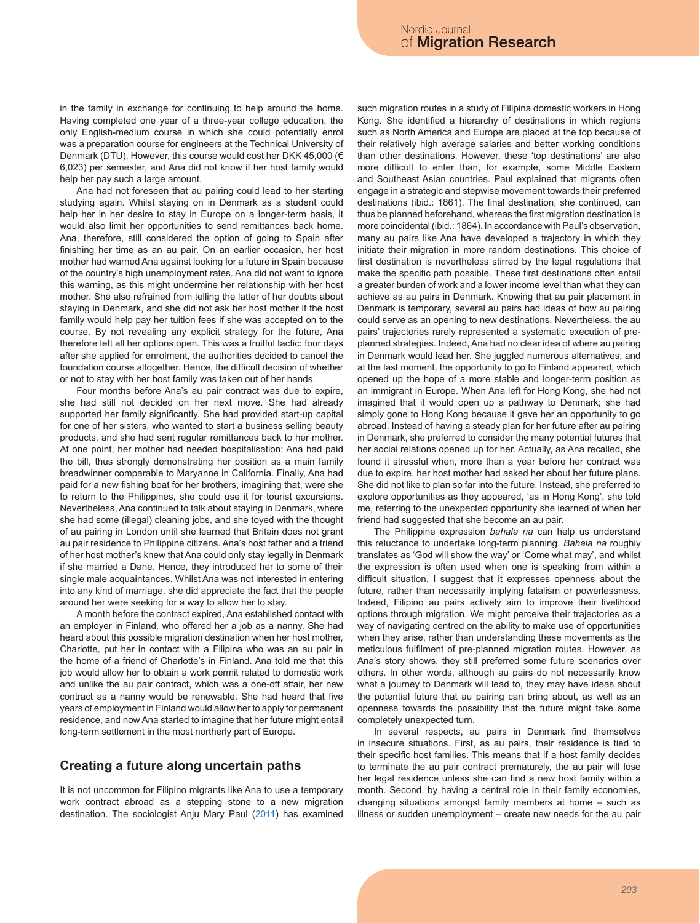in the family in exchange for continuing to help around the home. Having completed one year of a three-year college education, the only English-medium course in which she could potentially enrol was a preparation course for engineers at the Technical University of Denmark (DTU). However, this course would cost her DKK 45,000 (€ 6,023) per semester, and Ana did not know if her host family would help her pay such a large amount.

Ana had not foreseen that au pairing could lead to her starting studying again. Whilst staying on in Denmark as a student could help her in her desire to stay in Europe on a longer-term basis, it would also limit her opportunities to send remittances back home. Ana, therefore, still considered the option of going to Spain after finishing her time as an au pair. On an earlier occasion, her host mother had warned Ana against looking for a future in Spain because of the country's high unemployment rates. Ana did not want to ignore this warning, as this might undermine her relationship with her host mother. She also refrained from telling the latter of her doubts about staying in Denmark, and she did not ask her host mother if the host family would help pay her tuition fees if she was accepted on to the course. By not revealing any explicit strategy for the future, Ana therefore left all her options open. This was a fruitful tactic: four days after she applied for enrolment, the authorities decided to cancel the foundation course altogether. Hence, the difficult decision of whether or not to stay with her host family was taken out of her hands.

Four months before Ana's au pair contract was due to expire, she had still not decided on her next move. She had already supported her family significantly. She had provided start-up capital for one of her sisters, who wanted to start a business selling beauty products, and she had sent regular remittances back to her mother. At one point, her mother had needed hospitalisation: Ana had paid the bill, thus strongly demonstrating her position as a main family breadwinner comparable to Maryanne in California. Finally, Ana had paid for a new fishing boat for her brothers, imagining that, were she to return to the Philippines, she could use it for tourist excursions. Nevertheless, Ana continued to talk about staying in Denmark, where she had some (illegal) cleaning jobs, and she toyed with the thought of au pairing in London until she learned that Britain does not grant au pair residence to Philippine citizens. Ana's host father and a friend of her host mother's knew that Ana could only stay legally in Denmark if she married a Dane. Hence, they introduced her to some of their single male acquaintances. Whilst Ana was not interested in entering into any kind of marriage, she did appreciate the fact that the people around her were seeking for a way to allow her to stay.

A month before the contract expired, Ana established contact with an employer in Finland, who offered her a job as a nanny. She had heard about this possible migration destination when her host mother, Charlotte, put her in contact with a Filipina who was an au pair in the home of a friend of Charlotte's in Finland. Ana told me that this job would allow her to obtain a work permit related to domestic work and unlike the au pair contract, which was a one-off affair, her new contract as a nanny would be renewable. She had heard that five years of employment in Finland would allow her to apply for permanent residence, and now Ana started to imagine that her future might entail long-term settlement in the most northerly part of Europe.

### **Creating a future along uncertain paths**

It is not uncommon for Filipino migrants like Ana to use a temporary work contract abroad as a stepping stone to a new migration destination. The sociologist Anju Mary Paul (2011) has examined such migration routes in a study of Filipina domestic workers in Hong Kong. She identified a hierarchy of destinations in which regions such as North America and Europe are placed at the top because of their relatively high average salaries and better working conditions than other destinations. However, these 'top destinations' are also more difficult to enter than, for example, some Middle Eastern and Southeast Asian countries. Paul explained that migrants often engage in a strategic and stepwise movement towards their preferred destinations (ibid.: 1861). The final destination, she continued, can thus be planned beforehand, whereas the first migration destination is more coincidental (ibid.: 1864). In accordance with Paul's observation, many au pairs like Ana have developed a trajectory in which they initiate their migration in more random destinations. This choice of first destination is nevertheless stirred by the legal regulations that make the specific path possible. These first destinations often entail a greater burden of work and a lower income level than what they can achieve as au pairs in Denmark. Knowing that au pair placement in Denmark is temporary, several au pairs had ideas of how au pairing could serve as an opening to new destinations. Nevertheless, the au pairs' trajectories rarely represented a systematic execution of preplanned strategies. Indeed, Ana had no clear idea of where au pairing in Denmark would lead her. She juggled numerous alternatives, and at the last moment, the opportunity to go to Finland appeared, which opened up the hope of a more stable and longer-term position as an immigrant in Europe. When Ana left for Hong Kong, she had not imagined that it would open up a pathway to Denmark; she had simply gone to Hong Kong because it gave her an opportunity to go abroad. Instead of having a steady plan for her future after au pairing in Denmark, she preferred to consider the many potential futures that her social relations opened up for her. Actually, as Ana recalled, she found it stressful when, more than a year before her contract was due to expire, her host mother had asked her about her future plans. She did not like to plan so far into the future. Instead, she preferred to explore opportunities as they appeared, 'as in Hong Kong', she told me, referring to the unexpected opportunity she learned of when her friend had suggested that she become an au pair.

The Philippine expression *bahala na* can help us understand this reluctance to undertake long-term planning. *Bahala na* roughly translates as 'God will show the way' or 'Come what may', and whilst the expression is often used when one is speaking from within a difficult situation, I suggest that it expresses openness about the future, rather than necessarily implying fatalism or powerlessness. Indeed, Filipino au pairs actively aim to improve their livelihood options through migration. We might perceive their trajectories as a way of navigating centred on the ability to make use of opportunities when they arise, rather than understanding these movements as the meticulous fulfilment of pre-planned migration routes. However, as Ana's story shows, they still preferred some future scenarios over others. In other words, although au pairs do not necessarily know what a journey to Denmark will lead to, they may have ideas about the potential future that au pairing can bring about, as well as an openness towards the possibility that the future might take some completely unexpected turn.

In several respects, au pairs in Denmark find themselves in insecure situations. First, as au pairs, their residence is tied to their specific host families. This means that if a host family decides to terminate the au pair contract prematurely, the au pair will lose her legal residence unless she can find a new host family within a month. Second, by having a central role in their family economies, changing situations amongst family members at home – such as illness or sudden unemployment – create new needs for the au pair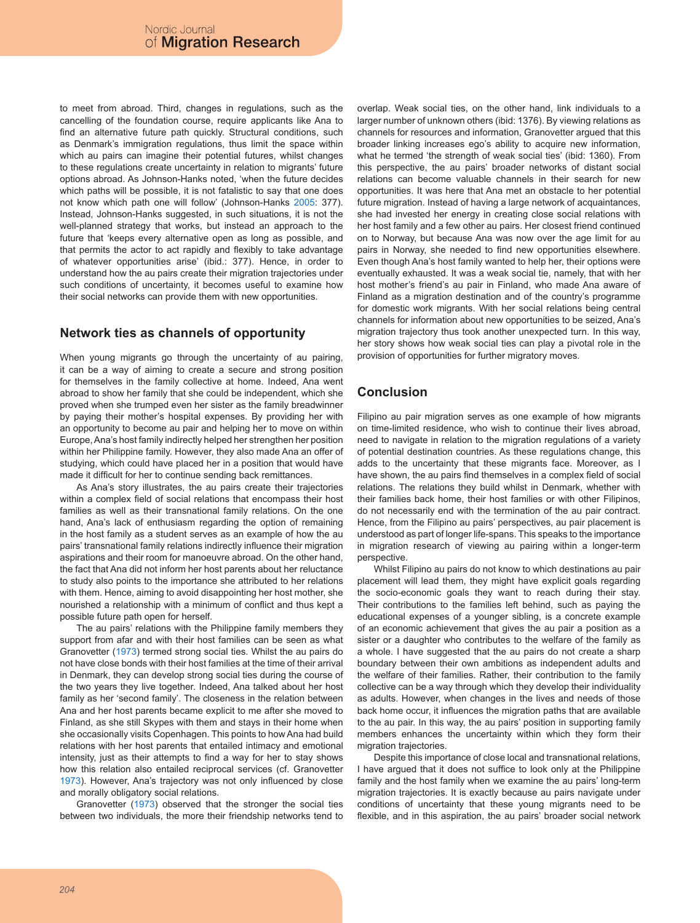to meet from abroad. Third, changes in regulations, such as the cancelling of the foundation course, require applicants like Ana to find an alternative future path quickly. Structural conditions, such as Denmark's immigration regulations, thus limit the space within which au pairs can imagine their potential futures, whilst changes to these regulations create uncertainty in relation to migrants' future options abroad. As Johnson-Hanks noted, 'when the future decides which paths will be possible, it is not fatalistic to say that one does not know which path one will follow' (Johnson-Hanks 2005: 377). Instead, Johnson-Hanks suggested, in such situations, it is not the well-planned strategy that works, but instead an approach to the future that 'keeps every alternative open as long as possible, and that permits the actor to act rapidly and flexibly to take advantage of whatever opportunities arise' (ibid.: 377). Hence, in order to understand how the au pairs create their migration trajectories under such conditions of uncertainty, it becomes useful to examine how their social networks can provide them with new opportunities.

### **Network ties as channels of opportunity**

When young migrants go through the uncertainty of au pairing, it can be a way of aiming to create a secure and strong position for themselves in the family collective at home. Indeed, Ana went abroad to show her family that she could be independent, which she proved when she trumped even her sister as the family breadwinner by paying their mother's hospital expenses. By providing her with an opportunity to become au pair and helping her to move on within Europe, Ana's host family indirectly helped her strengthen her position within her Philippine family. However, they also made Ana an offer of studying, which could have placed her in a position that would have made it difficult for her to continue sending back remittances.

As Ana's story illustrates, the au pairs create their trajectories within a complex field of social relations that encompass their host families as well as their transnational family relations. On the one hand, Ana's lack of enthusiasm regarding the option of remaining in the host family as a student serves as an example of how the au pairs' transnational family relations indirectly influence their migration aspirations and their room for manoeuvre abroad. On the other hand, the fact that Ana did not inform her host parents about her reluctance to study also points to the importance she attributed to her relations with them. Hence, aiming to avoid disappointing her host mother, she nourished a relationship with a minimum of conflict and thus kept a possible future path open for herself.

The au pairs' relations with the Philippine family members they support from afar and with their host families can be seen as what Granovetter (1973) termed strong social ties. Whilst the au pairs do not have close bonds with their host families at the time of their arrival in Denmark, they can develop strong social ties during the course of the two years they live together. Indeed, Ana talked about her host family as her 'second family'. The closeness in the relation between Ana and her host parents became explicit to me after she moved to Finland, as she still Skypes with them and stays in their home when she occasionally visits Copenhagen. This points to how Ana had build relations with her host parents that entailed intimacy and emotional intensity, just as their attempts to find a way for her to stay shows how this relation also entailed reciprocal services (cf. Granovetter 1973). However, Ana's trajectory was not only influenced by close and morally obligatory social relations.

Granovetter (1973) observed that the stronger the social ties between two individuals, the more their friendship networks tend to overlap. Weak social ties, on the other hand, link individuals to a larger number of unknown others (ibid: 1376). By viewing relations as channels for resources and information, Granovetter argued that this broader linking increases ego's ability to acquire new information, what he termed 'the strength of weak social ties' (ibid: 1360). From this perspective, the au pairs' broader networks of distant social relations can become valuable channels in their search for new opportunities. It was here that Ana met an obstacle to her potential future migration. Instead of having a large network of acquaintances, she had invested her energy in creating close social relations with her host family and a few other au pairs. Her closest friend continued on to Norway, but because Ana was now over the age limit for au pairs in Norway, she needed to find new opportunities elsewhere. Even though Ana's host family wanted to help her, their options were eventually exhausted. It was a weak social tie, namely, that with her host mother's friend's au pair in Finland, who made Ana aware of Finland as a migration destination and of the country's programme for domestic work migrants. With her social relations being central channels for information about new opportunities to be seized, Ana's migration trajectory thus took another unexpected turn. In this way, her story shows how weak social ties can play a pivotal role in the provision of opportunities for further migratory moves.

## **Conclusion**

Filipino au pair migration serves as one example of how migrants on time-limited residence, who wish to continue their lives abroad, need to navigate in relation to the migration regulations of a variety of potential destination countries. As these regulations change, this adds to the uncertainty that these migrants face. Moreover, as I have shown, the au pairs find themselves in a complex field of social relations. The relations they build whilst in Denmark, whether with their families back home, their host families or with other Filipinos, do not necessarily end with the termination of the au pair contract. Hence, from the Filipino au pairs' perspectives, au pair placement is understood as part of longer life-spans. This speaks to the importance in migration research of viewing au pairing within a longer-term perspective.

Whilst Filipino au pairs do not know to which destinations au pair placement will lead them, they might have explicit goals regarding the socio-economic goals they want to reach during their stay. Their contributions to the families left behind, such as paying the educational expenses of a younger sibling, is a concrete example of an economic achievement that gives the au pair a position as a sister or a daughter who contributes to the welfare of the family as a whole. I have suggested that the au pairs do not create a sharp boundary between their own ambitions as independent adults and the welfare of their families. Rather, their contribution to the family collective can be a way through which they develop their individuality as adults. However, when changes in the lives and needs of those back home occur, it influences the migration paths that are available to the au pair. In this way, the au pairs' position in supporting family members enhances the uncertainty within which they form their migration trajectories.

Despite this importance of close local and transnational relations, I have argued that it does not suffice to look only at the Philippine family and the host family when we examine the au pairs' long-term migration trajectories. It is exactly because au pairs navigate under conditions of uncertainty that these young migrants need to be flexible, and in this aspiration, the au pairs' broader social network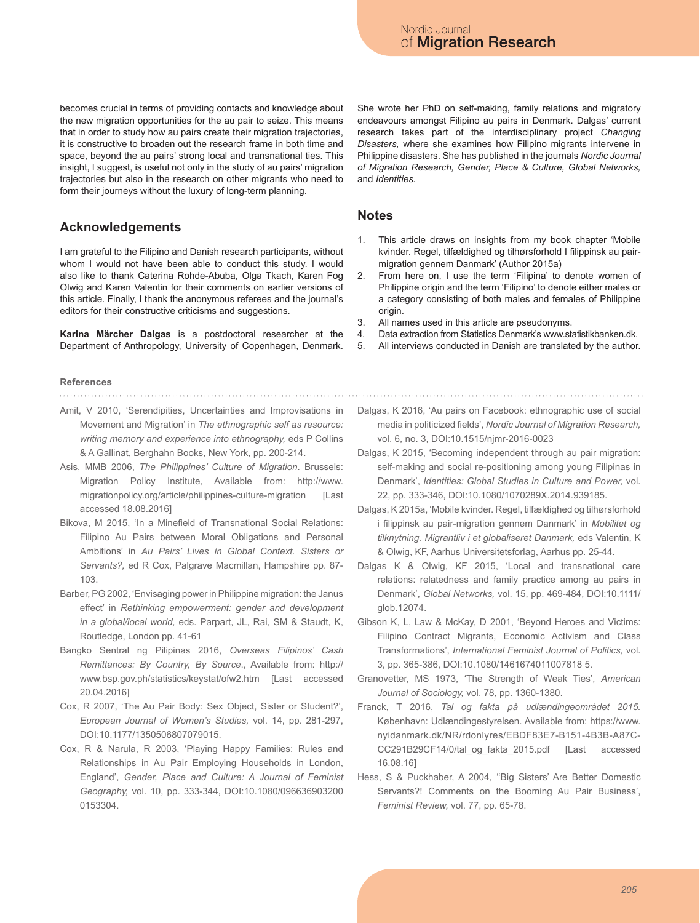Nordic Journal of Migration Research

becomes crucial in terms of providing contacts and knowledge about the new migration opportunities for the au pair to seize. This means that in order to study how au pairs create their migration trajectories, it is constructive to broaden out the research frame in both time and space, beyond the au pairs' strong local and transnational ties. This insight, I suggest, is useful not only in the study of au pairs' migration trajectories but also in the research on other migrants who need to form their journeys without the luxury of long-term planning.

#### **Acknowledgements**

I am grateful to the Filipino and Danish research participants, without whom I would not have been able to conduct this study. I would also like to thank Caterina Rohde-Abuba, Olga Tkach, Karen Fog Olwig and Karen Valentin for their comments on earlier versions of this article. Finally, I thank the anonymous referees and the journal's editors for their constructive criticisms and suggestions.

**Karina Märcher Dalgas** is a postdoctoral researcher at the Department of Anthropology, University of Copenhagen, Denmark. She wrote her PhD on self-making, family relations and migratory endeavours amongst Filipino au pairs in Denmark. Dalgas' current research takes part of the interdisciplinary project *Changing Disasters,* where she examines how Filipino migrants intervene in Philippine disasters. She has published in the journals *Nordic Journal of Migration Research, Gender, Place & Culture, Global Networks,*  and *Identities.*

#### **Notes**

- 1. This article draws on insights from my book chapter 'Mobile kvinder. Regel, tilfældighed og tilhørsforhold I filippinsk au pairmigration gennem Danmark' (Author 2015a)
- 2. From here on, I use the term 'Filipina' to denote women of Philippine origin and the term 'Filipino' to denote either males or a category consisting of both males and females of Philippine origin.
- 3. All names used in this article are pseudonyms.
- 4. Data extraction from Statistics Denmark's www.statistikbanken.dk.
- 5. All interviews conducted in Danish are translated by the author.

#### **References**

- Amit, V 2010, 'Serendipities, Uncertainties and Improvisations in Movement and Migration' in *The ethnographic self as resource: writing memory and experience into ethnography,* eds P Collins & A Gallinat, Berghahn Books, New York, pp. 200-214.
- Asis, MMB 2006, *The Philippines' Culture of Migration*. Brussels: Migration Policy Institute, Available from: http://www. migrationpolicy.org/article/philippines-culture-migration [Last accessed 18.08.2016]
- Bikova, M 2015, 'In a Minefield of Transnational Social Relations: Filipino Au Pairs between Moral Obligations and Personal Ambitions' in *Au Pairs' Lives in Global Context. Sisters or Servants?,* ed R Cox, Palgrave Macmillan, Hampshire pp. 87- 103.
- Barber, PG 2002, 'Envisaging power in Philippine migration: the Janus effect' in *Rethinking empowerment: gender and development in a global/local world,* eds. Parpart, JL, Rai, SM & Staudt, K, Routledge, London pp. 41-61
- Bangko Sentral ng Pilipinas 2016, *Overseas Filipinos' Cash Remittances: By Country, By Source*., Available from: http:// www.bsp.gov.ph/statistics/keystat/ofw2.htm [Last accessed 20.04.2016]
- Cox, R 2007, 'The Au Pair Body: Sex Object, Sister or Student?', *European Journal of Women's Studies,* vol. 14, pp. 281-297, DOI:10.1177/1350506807079015.
- Cox, R & Narula, R 2003, 'Playing Happy Families: Rules and Relationships in Au Pair Employing Households in London, England', *Gender, Place and Culture: A Journal of Feminist Geography,* vol. 10, pp. 333-344, DOI:10.1080/096636903200 0153304.
- Dalgas, K 2016, 'Au pairs on Facebook: ethnographic use of social media in politicized fields', *Nordic Journal of Migration Research,*  vol. 6, no. 3, DOI:10.1515/njmr-2016-0023
- Dalgas, K 2015, 'Becoming independent through au pair migration: self-making and social re-positioning among young Filipinas in Denmark', *Identities: Global Studies in Culture and Power,* vol. 22, pp. 333-346, DOI:10.1080/1070289X.2014.939185.
- Dalgas, K 2015a, 'Mobile kvinder. Regel, tilfældighed og tilhørsforhold i filippinsk au pair-migration gennem Danmark' in *Mobilitet og tilknytning. Migrantliv i et globaliseret Danmark,* eds Valentin, K & Olwig, KF, Aarhus Universitetsforlag, Aarhus pp. 25-44.
- Dalgas K & Olwig, KF 2015, 'Local and transnational care relations: relatedness and family practice among au pairs in Denmark', *Global Networks,* vol. 15, pp. 469-484, DOI:10.1111/ glob.12074.
- Gibson K, L, Law & McKay, D 2001, 'Beyond Heroes and Victims: Filipino Contract Migrants, Economic Activism and Class Transformations', *International Feminist Journal of Politics,* vol. 3, pp. 365-386, DOI:10.1080/1461674011007818 5.
- Granovetter, MS 1973, 'The Strength of Weak Ties', *American Journal of Sociology,* vol. 78, pp. 1360-1380.
- Franck, T 2016, *Tal og fakta på udlændingeområdet 2015.*  København: Udlændingestyrelsen. Available from: https://www. nyidanmark.dk/NR/rdonlyres/EBDF83E7-B151-4B3B-A87C-CC291B29CF14/0/tal\_og\_fakta\_2015.pdf [Last accessed 16.08.16]
- Hess, S & Puckhaber, A 2004, ''Big Sisters' Are Better Domestic Servants?! Comments on the Booming Au Pair Business', *Feminist Review,* vol. 77, pp. 65-78.